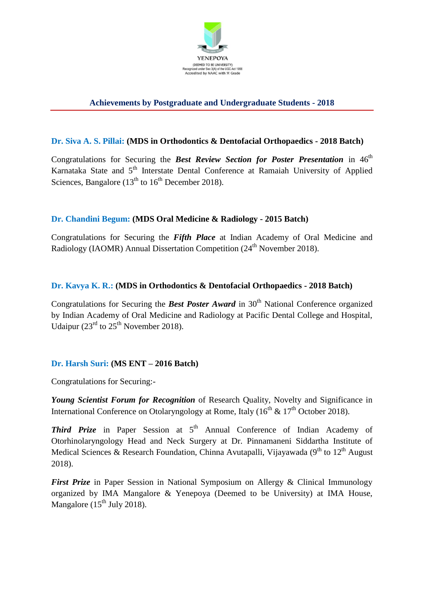

# **Achievements by Postgraduate and Undergraduate Students - 2018**

#### **Dr. Siva A. S. Pillai: (MDS in Orthodontics & Dentofacial Orthopaedics - 2018 Batch)**

Congratulations for Securing the *Best Review Section for Poster Presentation* in 46<sup>th</sup> Karnataka State and 5<sup>th</sup> Interstate Dental Conference at Ramaiah University of Applied Sciences, Bangalore  $(13<sup>th</sup>$  to  $16<sup>th</sup>$  December 2018).

#### **Dr. Chandini Begum: (MDS Oral Medicine & Radiology - 2015 Batch)**

Congratulations for Securing the *Fifth Place* at Indian Academy of Oral Medicine and Radiology (IAOMR) Annual Dissertation Competition (24<sup>th</sup> November 2018).

#### **Dr. Kavya K. R.: (MDS in Orthodontics & Dentofacial Orthopaedics - 2018 Batch)**

Congratulations for Securing the **Best Poster Award** in 30<sup>th</sup> National Conference organized by Indian Academy of Oral Medicine and Radiology at Pacific Dental College and Hospital, Udaipur ( $23<sup>rd</sup>$  to  $25<sup>th</sup>$  November 2018).

#### **Dr. Harsh Suri: (MS ENT – 2016 Batch)**

Congratulations for Securing:-

*Young Scientist Forum for Recognition* of Research Quality, Novelty and Significance in International Conference on Otolaryngology at Rome, Italy ( $16<sup>th</sup>$  &  $17<sup>th</sup>$  October 2018).

**Third Prize** in Paper Session at 5<sup>th</sup> Annual Conference of Indian Academy of Otorhinolaryngology Head and Neck Surgery at Dr. Pinnamaneni Siddartha Institute of Medical Sciences & Research Foundation, Chinna Avutapalli, Vijayawada (9<sup>th</sup> to 12<sup>th</sup> August 2018).

*First Prize* in Paper Session in National Symposium on Allergy & Clinical Immunology organized by IMA Mangalore & Yenepoya (Deemed to be University) at IMA House, Mangalore  $(15<sup>th</sup>$  July 2018).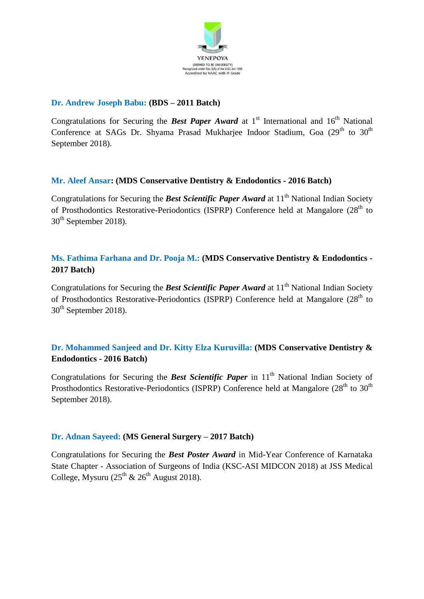

#### **Dr. Andrew Joseph Babu: (BDS – 2011 Batch)**

Congratulations for Securing the **Best Paper Award** at  $1<sup>st</sup>$  International and  $16<sup>th</sup>$  National Conference at SAGs Dr. Shyama Prasad Mukharjee Indoor Stadium, Goa (29<sup>th</sup> to 30<sup>th</sup>) September 2018).

#### **Mr. Aleef Ansar: (MDS Conservative Dentistry & Endodontics - 2016 Batch)**

Congratulations for Securing the **Best Scientific Paper Award** at 11<sup>th</sup> National Indian Society of Prosthodontics Restorative-Periodontics (ISPRP) Conference held at Mangalore  $(28<sup>th</sup>$  to 30<sup>th</sup> September 2018).

## **Ms. Fathima Farhana and Dr. Pooja M.: (MDS Conservative Dentistry & Endodontics - 2017 Batch)**

Congratulations for Securing the **Best Scientific Paper Award** at 11<sup>th</sup> National Indian Society of Prosthodontics Restorative-Periodontics (ISPRP) Conference held at Mangalore  $(28<sup>th</sup>$  to  $30<sup>th</sup>$  September 2018).

# **Dr. Mohammed Sanjeed and Dr. Kitty Elza Kuruvilla: (MDS Conservative Dentistry & Endodontics - 2016 Batch)**

Congratulations for Securing the **Best Scientific Paper** in 11<sup>th</sup> National Indian Society of Prosthodontics Restorative-Periodontics (ISPRP) Conference held at Mangalore ( $28<sup>th</sup>$  to  $30<sup>th</sup>$ September 2018).

#### **Dr. Adnan Sayeed: (MS General Surgery – 2017 Batch)**

Congratulations for Securing the *Best Poster Award* in Mid-Year Conference of Karnataka State Chapter - Association of Surgeons of India (KSC-ASI MIDCON 2018) at JSS Medical College, Mysuru  $(25^{th} \& 26^{th}$  August 2018).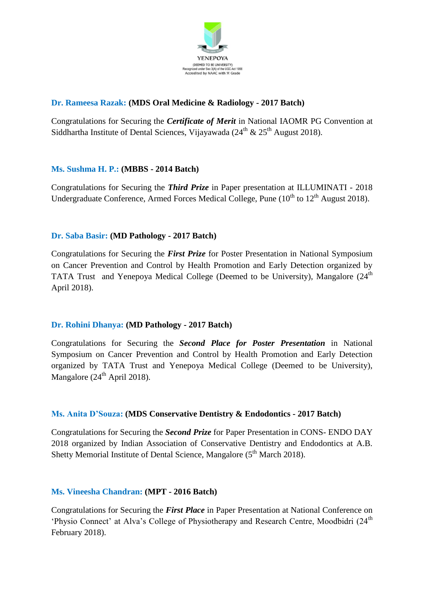

# **Dr. Rameesa Razak: (MDS Oral Medicine & Radiology - 2017 Batch)**

Congratulations for Securing the *Certificate of Merit* in National IAOMR PG Convention at Siddhartha Institute of Dental Sciences, Vijayawada (24<sup>th</sup> & 25<sup>th</sup> August 2018).

## **Ms. Sushma H. P.: (MBBS - 2014 Batch)**

Congratulations for Securing the *Third Prize* in Paper presentation at ILLUMINATI - 2018 Undergraduate Conference, Armed Forces Medical College, Pune  $(10<sup>th</sup>$  to  $12<sup>th</sup>$  August 2018).

## **Dr. Saba Basir: (MD Pathology - 2017 Batch)**

Congratulations for Securing the *First Prize* for Poster Presentation in National Symposium on Cancer Prevention and Control by Health Promotion and Early Detection organized by TATA Trust and Yenepoya Medical College (Deemed to be University), Mangalore (24<sup>th</sup>) April 2018).

#### **Dr. Rohini Dhanya: (MD Pathology - 2017 Batch)**

Congratulations for Securing the *Second Place for Poster Presentation* in National Symposium on Cancer Prevention and Control by Health Promotion and Early Detection organized by TATA Trust and Yenepoya Medical College (Deemed to be University), Mangalore  $(24<sup>th</sup>$  April 2018).

#### **Ms. Anita D'Souza: (MDS Conservative Dentistry & Endodontics - 2017 Batch)**

Congratulations for Securing the *Second Prize* for Paper Presentation in CONS- ENDO DAY 2018 organized by Indian Association of Conservative Dentistry and Endodontics at A.B. Shetty Memorial Institute of Dental Science, Mangalore (5<sup>th</sup> March 2018).

#### **Ms. Vineesha Chandran: (MPT - 2016 Batch)**

Congratulations for Securing the *First Place* in Paper Presentation at National Conference on 'Physio Connect' at Alva's College of Physiotherapy and Research Centre, Moodbidri (24<sup>th</sup> February 2018).